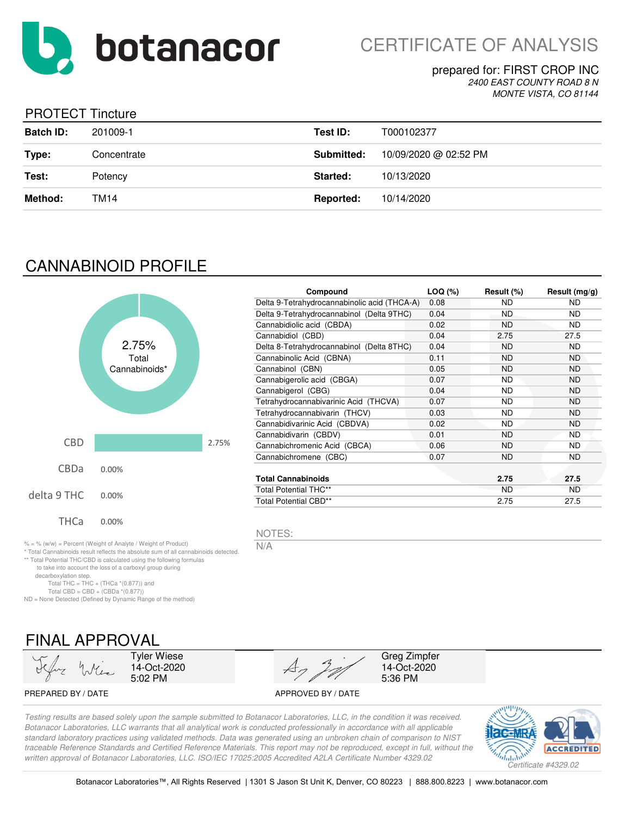

### prepared for: FIRST CROP INC *2400 EAST COUNTY ROAD 8 N MONTE VISTA, CO 81144*

## PROTECT Tincture

| <b>Batch ID:</b> | 201009-1    | Test ID:         | T000102377            |
|------------------|-------------|------------------|-----------------------|
| Type:            | Concentrate | Submitted:       | 10/09/2020 @ 02:52 PM |
| Test:            | Potency     | Started:         | 10/13/2020            |
| Method:          | TM14        | <b>Reported:</b> | 10/14/2020            |

# CANNABINOID PROFILE



\* Total Cannabinoids result reflects the absolute sum of all cannabinoids detected. \*\* Total Potential THC/CBD is calculated using the following formulas to take into account the loss of a carboxyl group during

| Compound                                     | LOQ (%) | Result (%) | Result $(mg/g)$ |
|----------------------------------------------|---------|------------|-----------------|
| Delta 9-Tetrahydrocannabinolic acid (THCA-A) | 0.08    | ND         | ND.             |
| Delta 9-Tetrahydrocannabinol (Delta 9THC)    | 0.04    | ND.        | ND.             |
| Cannabidiolic acid (CBDA)                    | 0.02    | ND.        | ND.             |
| Cannabidiol (CBD)                            | 0.04    | 2.75       | 27.5            |
| Delta 8-Tetrahydrocannabinol (Delta 8THC)    | 0.04    | <b>ND</b>  | ND.             |
| Cannabinolic Acid (CBNA)                     | 0.11    | <b>ND</b>  | ND.             |
| Cannabinol (CBN)                             | 0.05    | ND.        | ND.             |
| Cannabigerolic acid (CBGA)                   | 0.07    | ND         | ND.             |
| Cannabigerol (CBG)                           | 0.04    | <b>ND</b>  | ND.             |
| Tetrahydrocannabivarinic Acid (THCVA)        | 0.07    | <b>ND</b>  | ND.             |
| Tetrahydrocannabivarin (THCV)                | 0.03    | <b>ND</b>  | ND.             |
| Cannabidivarinic Acid (CBDVA)                | 0.02    | <b>ND</b>  | <b>ND</b>       |
| Cannabidivarin (CBDV)                        | 0.01    | ND.        | ND.             |
| Cannabichromenic Acid (CBCA)                 | 0.06    | <b>ND</b>  | ND.             |
| Cannabichromene (CBC)                        | 0.07    | <b>ND</b>  | ND.             |
|                                              |         |            |                 |
| <b>Total Cannabinoids</b>                    |         | 2.75       | 27.5            |
| <b>Total Potential THC**</b>                 |         | <b>ND</b>  | <b>ND</b>       |
| <b>Total Potential CBD**</b>                 |         | 2.75       | 27.5            |

NOTES:

N/A

FINAL APPROVAL

Total THC = THC + (THCa  $*(0.877)$ ) and Total CBD = CBD +  $(CBDa * (0.877))$ ND = None Detected (Defined by Dynamic Range of the method)

decarboxylation step.

Tyler Wiese 14-Oct-2020 5:02 PM

PREPARED BY / DATE APPROVED BY / DATE



Greg Zimpfer 14-Oct-2020 5:36 PM

*Testing results are based solely upon the sample submitted to Botanacor Laboratories, LLC, in the condition it was received. Botanacor Laboratories, LLC warrants that all analytical work is conducted professionally in accordance with all applicable standard laboratory practices using validated methods. Data was generated using an unbroken chain of comparison to NIST traceable Reference Standards and Certified Reference Materials. This report may not be reproduced, except in full, without the written approval of Botanacor Laboratories, LLC. ISO/IEC 17025:2005 Accredited A2LA Certificate Number 4329.02*

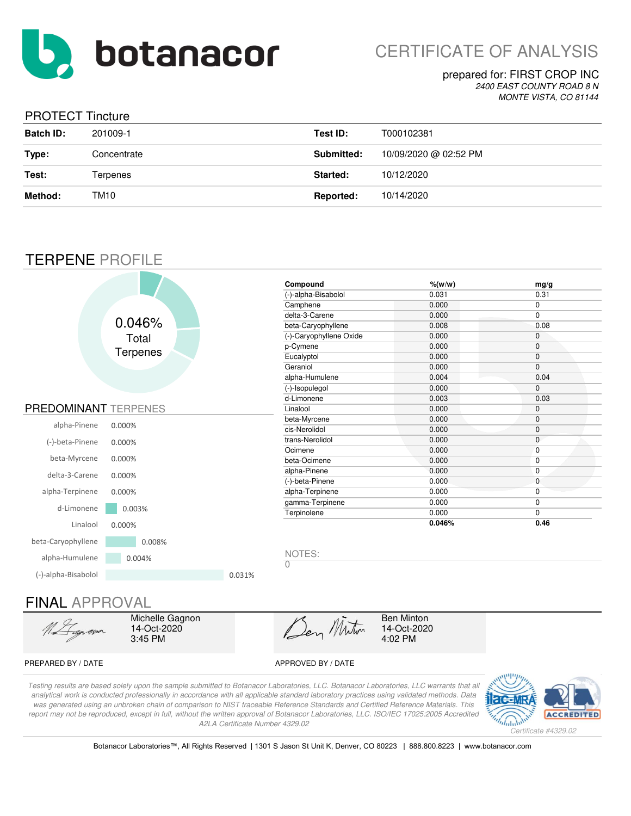

CERTIFICATE OF ANALYSIS

### prepared for: FIRST CROP INC *2400 EAST COUNTY ROAD 8 N*

*MONTE VISTA, CO 81144*

## PROTECT Tincture

| <b>Batch ID:</b> | 201009-1    | Test ID:   | T000102381            |
|------------------|-------------|------------|-----------------------|
| Type:            | Concentrate | Submitted: | 10/09/2020 @ 02:52 PM |
| Test:            | Terpenes    | Started:   | 10/12/2020            |
| Method:          | TM10        | Reported:  | 10/14/2020            |
|                  |             |            |                       |

# TERPENE PROFILE

|                             |                 |        | Compound                 | $%$ (w/w) | mg/g           |
|-----------------------------|-----------------|--------|--------------------------|-----------|----------------|
|                             |                 |        | (-)-alpha-Bisabolol      | 0.031     | 0.31           |
|                             |                 |        | Camphene                 | 0.000     | 0              |
|                             |                 |        | delta-3-Carene           | 0.000     | $\overline{0}$ |
|                             | 0.046%          |        | beta-Caryophyllene       | 0.008     | 0.08           |
|                             | Total           |        | (-)-Caryophyllene Oxide  | 0.000     | $\mathbf 0$    |
|                             |                 |        | p-Cymene                 | 0.000     | $\mathbf 0$    |
|                             | <b>Terpenes</b> |        | Eucalyptol               | 0.000     | 0              |
|                             |                 |        | Geraniol                 | 0.000     | $\mathbf{0}$   |
|                             |                 |        | alpha-Humulene           | 0.004     | 0.04           |
|                             |                 |        | (-)-Isopulegol           | 0.000     | $\mathbf{0}$   |
|                             |                 |        | d-Limonene               | 0.003     | 0.03           |
| <b>PREDOMINANT TERPENES</b> |                 |        | Linalool                 | 0.000     | 0              |
|                             |                 |        | beta-Myrcene             | 0.000     | $\mathbf 0$    |
| alpha-Pinene                | 0.000%          |        | cis-Nerolidol            | 0.000     | 0              |
| (-)-beta-Pinene             | 0.000%          |        | trans-Nerolidol          | 0.000     | $\mathbf 0$    |
|                             |                 |        | Ocimene                  | 0.000     | $\mathbf{0}$   |
| beta-Myrcene                | 0.000%          |        | beta-Ocimene             | 0.000     | 0              |
| delta-3-Carene              | 0.000%          |        | alpha-Pinene             | 0.000     | 0              |
|                             |                 |        | (-)-beta-Pinene          | 0.000     | $\mathbf 0$    |
| alpha-Terpinene             | 0.000%          |        | alpha-Terpinene          | 0.000     | 0              |
| d-Limonene                  |                 |        | gamma-Terpinene          | 0.000     | 0              |
|                             | 0.003%          |        | Terpinolene              | 0.000     | $\mathbf 0$    |
| Linalool                    | 0.000%          |        |                          | 0.046%    | 0.46           |
| beta-Caryophyllene          | 0.008%          |        |                          |           |                |
| alpha-Humulene              | 0.004%          |        | NOTES:<br>$\overline{0}$ |           |                |
| (-)-alpha-Bisabolol         |                 | 0.031% |                          |           |                |

# FINAL APPROVAL

Michelle Gagnon 14-Oct-2020 3:45 PM

Den Minton

Ben Minton 14-Oct-2020 4:02 PM

### PREPARED BY / DATE APPROVED BY / DATE

*Testing results are based solely upon the sample submitted to Botanacor Laboratories, LLC. Botanacor Laboratories, LLC warrants that all analytical work is conducted professionally in accordance with all applicable standard laboratory practices using validated methods. Data was generated using an unbroken chain of comparison to NIST traceable Reference Standards and Certified Reference Materials. This report may not be reproduced, except in full, without the written approval of Botanacor Laboratories, LLC. ISO/IEC 17025:2005 Accredited A2LA Certificate Number 4329.02*



Botanacor Laboratories™, All Rights Reserved | 1301 S Jason St Unit K, Denver, CO 80223 | 888.800.8223 | www.botanacor.com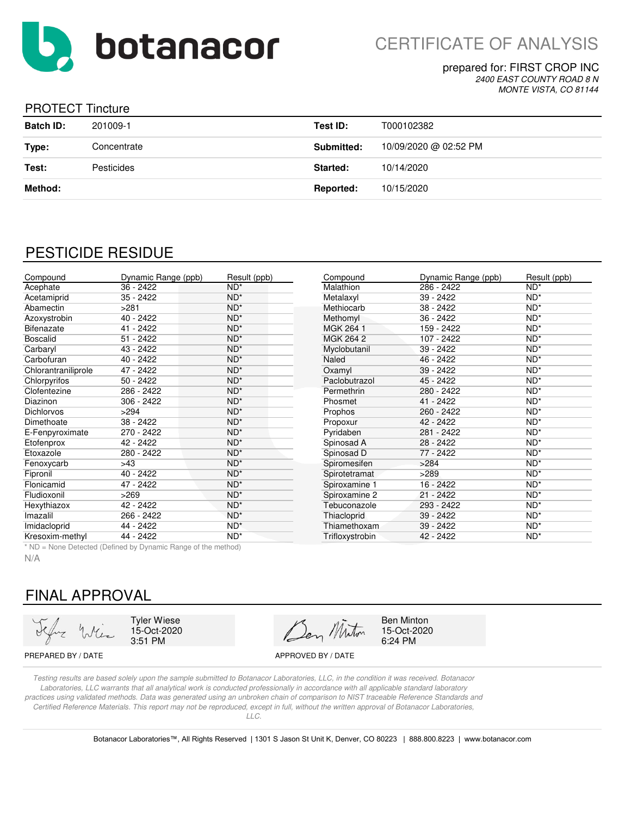

prepared for: FIRST CROP INC *2400 EAST COUNTY ROAD 8 N*

*MONTE VISTA, CO 81144*

### PROTECT Tincture

| <b>Batch ID:</b> | 201009-1    | Test ID:   | T000102382            |
|------------------|-------------|------------|-----------------------|
| Type:            | Concentrate | Submitted: | 10/09/2020 @ 02:52 PM |
| Test:            | Pesticides  | Started:   | 10/14/2020            |
| Method:          |             | Reported:  | 10/15/2020            |

# PESTICIDE RESIDUE

| Compound            | Dynamic Range (ppb) | Result (ppb)    | Compound           | Dynamic Range (ppb) | Result (ppb) |
|---------------------|---------------------|-----------------|--------------------|---------------------|--------------|
| Acephate            | $36 - 2422$         | $ND^*$          | Malathion          | $286 - 2422$        | $ND^*$       |
| Acetamiprid         | $35 - 2422$         | $ND^*$          | Metalaxyl          | $39 - 2422$         | $ND^*$       |
| Abamectin           | >281                | $ND^*$          | Methiocarb         | 38 - 2422           | $ND^*$       |
| Azoxystrobin        | 40 - 2422           | $ND^*$          | Methomyl           | 36 - 2422           | $ND^*$       |
| <b>Bifenazate</b>   | 41 - 2422           | $ND^*$          | MGK 264 1          | 159 - 2422          | $ND^*$       |
| <b>Boscalid</b>     | $51 - 2422$         | $ND^*$          | MGK 264 2          | 107 - 2422          | $ND^*$       |
| Carbaryl            | 43 - 2422           | $ND^*$          | Myclobutanil       | $39 - 2422$         | $ND^*$       |
| Carbofuran          | 40 - 2422           | $ND^*$          | Naled              | 46 - 2422           | $ND^*$       |
| Chlorantraniliprole | 47 - 2422           | $ND^*$          | Oxamyl             | $39 - 2422$         | $ND^*$       |
| Chlorpyrifos        | $50 - 2422$         | $ND^*$          | Paclobutrazol      | 45 - 2422           | $ND^*$       |
| Clofentezine        | 286 - 2422          | $ND^*$          | Permethrin         | 280 - 2422          | $ND^*$       |
| Diazinon            | 306 - 2422          | $ND^*$          | Phosmet            | 41 - 2422           | $ND^*$       |
| <b>Dichlorvos</b>   | >294                | $ND^*$          | Prophos            | 260 - 2422          | $ND^*$       |
| Dimethoate          | 38 - 2422           | $ND^*$          | Propoxur           | 42 - 2422           | $ND^*$       |
| E-Fenpyroximate     | 270 - 2422          | $ND^*$          | Pyridaben          | 281 - 2422          | $ND^*$       |
| Etofenprox          | 42 - 2422           | $ND^*$          | Spinosad A         | $28 - 2422$         | $ND^*$       |
| Etoxazole           | 280 - 2422          | $ND^*$          | Spinosad D         | 77 - 2422           | $ND^*$       |
| Fenoxycarb          | >43                 | $ND^*$          | Spiromesifen       | >284                | $ND^*$       |
| Fipronil            | $40 - 2422$         | $ND^*$          | Spirotetramat      | >289                | $ND^*$       |
| Flonicamid          | 47 - 2422           | $ND^*$          | Spiroxamine 1      | 16 - 2422           | $ND^*$       |
| Fludioxonil         | >269                | $ND^*$          | Spiroxamine 2      | $21 - 2422$         | $ND^*$       |
| Hexythiazox         | 42 - 2422           | $ND^*$          | Tebuconazole       | 293 - 2422          | $ND^*$       |
| Imazalil            | 266 - 2422          | $ND^*$          | <b>Thiacloprid</b> | 39 - 2422           | $ND^*$       |
| Imidacloprid        | 44 - 2422           | $ND^*$          | Thiamethoxam       | 39 - 2422           | $ND^*$       |
| Kresoxim-methyl     | 44 - 2422           | ND <sup>*</sup> | Trifloxystrobin    | 42 - 2422           | $ND^*$       |

\* ND = None Detected (Defined by Dynamic Range of the method)

N/A

# FINAL APPROVAL

Tyler Wiese 15-Oct-2020 3:51 PM

Ben Minton

Ben Minton 15-Oct-2020 6:24 PM

PREPARED BY / DATE APPROVED BY / DATE

*Testing results are based solely upon the sample submitted to Botanacor Laboratories, LLC, in the condition it was received. Botanacor Laboratories, LLC warrants that all analytical work is conducted professionally in accordance with all applicable standard laboratory practices using validated methods. Data was generated using an unbroken chain of comparison to NIST traceable Reference Standards and Certified Reference Materials. This report may not be reproduced, except in full, without the written approval of Botanacor Laboratories,* 

*LLC.*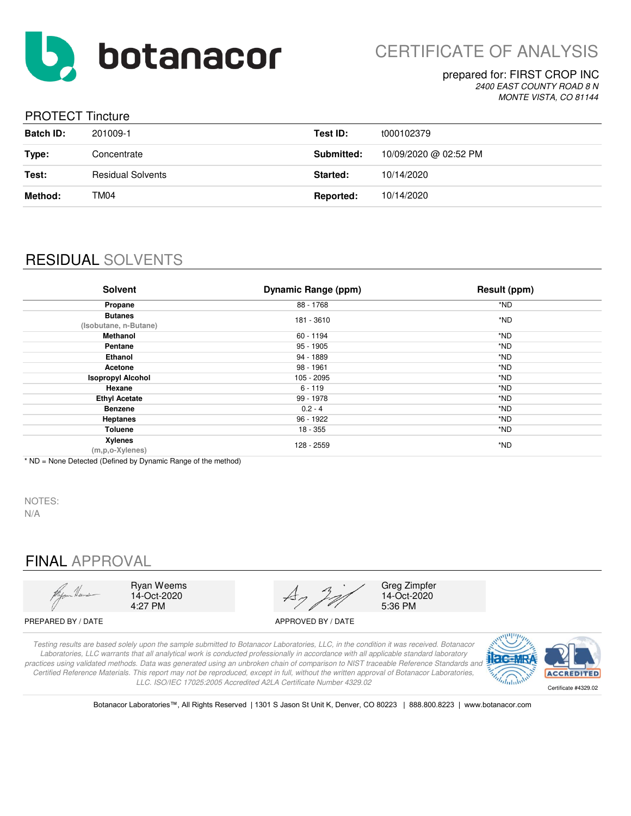

### prepared for: FIRST CROP INC *2400 EAST COUNTY ROAD 8 N*

*MONTE VISTA, CO 81144*

## PROTECT Tincture

| <b>Batch ID:</b> | 201009-1                 | Test ID:   | t000102379            |
|------------------|--------------------------|------------|-----------------------|
| Type:            | Concentrate              | Submitted: | 10/09/2020 @ 02:52 PM |
| Test:            | <b>Residual Solvents</b> | Started:   | 10/14/2020            |
| Method:          | TM04                     | Reported:  | 10/14/2020            |

# RESIDUAL SOLVENTS

| <b>Solvent</b>                          | <b>Dynamic Range (ppm)</b> | Result (ppm) |
|-----------------------------------------|----------------------------|--------------|
| Propane                                 | 88 - 1768                  | *ND          |
| <b>Butanes</b><br>(Isobutane, n-Butane) | 181 - 3610                 | *ND          |
| Methanol                                | 60 - 1194                  | *ND          |
| Pentane                                 | 95 - 1905                  | *ND          |
| <b>Ethanol</b>                          | 94 - 1889                  | *ND          |
| Acetone                                 | 98 - 1961                  | *ND          |
| <b>Isopropyl Alcohol</b>                | 105 - 2095                 | *ND          |
| Hexane                                  | $6 - 119$                  | *ND          |
| <b>Ethyl Acetate</b>                    | 99 - 1978                  | *ND          |
| <b>Benzene</b>                          | $0.2 - 4$                  | *ND          |
| <b>Heptanes</b>                         | 96 - 1922                  | *ND          |
| Toluene                                 | 18 - 355                   | *ND          |
| Xylenes<br>(m,p,o-Xylenes)              | 128 - 2559                 | *ND          |

\* ND = None Detected (Defined by Dynamic Range of the method)

NOTES: N/A

# FINAL APPROVAL



Ryan Weems 14-Oct-2020 4:27 PM



Greg Zimpfer 14-Oct-2020 5:36 PM

PREPARED BY / DATE APPROVED BY / DATE

*Testing results are based solely upon the sample submitted to Botanacor Laboratories, LLC, in the condition it was received. Botanacor Laboratories, LLC warrants that all analytical work is conducted professionally in accordance with all applicable standard laboratory practices using validated methods. Data was generated using an unbroken chain of comparison to NIST traceable Reference Standards and Certified Reference Materials. This report may not be reproduced, except in full, without the written approval of Botanacor Laboratories, LLC. ISO/IEC 17025:2005 Accredited A2LA Certificate Number 4329.02*



Botanacor Laboratories™, All Rights Reserved | 1301 S Jason St Unit K, Denver, CO 80223 | 888.800.8223 | www.botanacor.com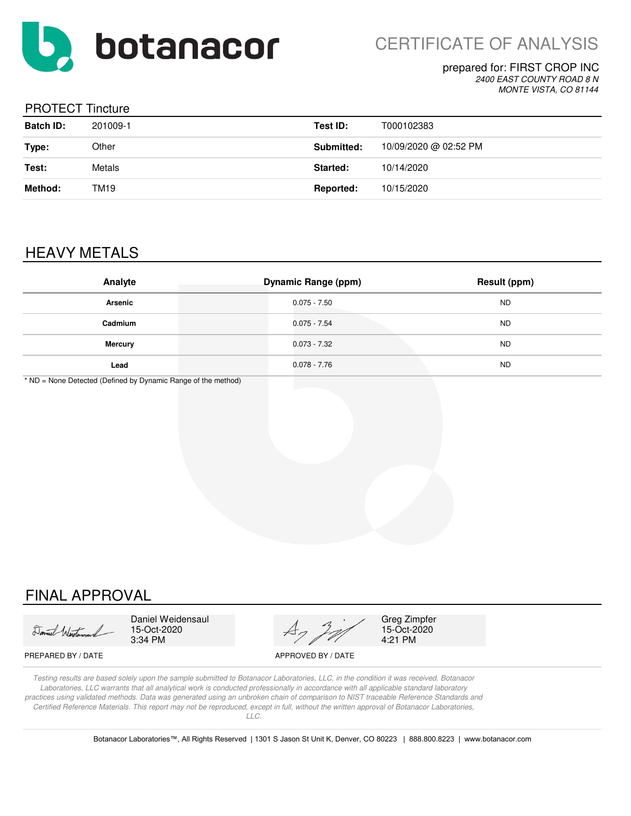

CERTIFICATE OF ANALYSIS

# prepared for: FIRST CROP INC

*2400 EAST COUNTY ROAD 8 N MONTE VISTA, CO 81144*

### PROTECT Tincture

| <b>Batch ID:</b> | 201009-1 | Test ID:   | T000102383            |
|------------------|----------|------------|-----------------------|
| Type:            | Other    | Submitted: | 10/09/2020 @ 02:52 PM |
| Test:            | Metals   | Started:   | 10/14/2020            |
| Method:          | TM19     | Reported:  | 10/15/2020            |

# HEAVY METALS

| Analyte        | <b>Dynamic Range (ppm)</b> | <b>Result (ppm)</b> |
|----------------|----------------------------|---------------------|
| Arsenic        | $0.075 - 7.50$             | <b>ND</b>           |
| Cadmium        | $0.075 - 7.54$             | <b>ND</b>           |
| <b>Mercury</b> | $0.073 - 7.32$             | <b>ND</b>           |
| Lead           | $0.078 - 7.76$             | <b>ND</b>           |

\* ND = None Detected (Defined by Dynamic Range of the method)

# FINAL APPROVAL

Daniel Western

Daniel Weidensaul 15-Oct-2020 3:34 PM



Greg Zimpfer 15-Oct-2020 4:21 PM

PREPARED BY / DATE APPROVED BY / DATE

*Testing results are based solely upon the sample submitted to Botanacor Laboratories, LLC, in the condition it was received. Botanacor Laboratories, LLC warrants that all analytical work is conducted professionally in accordance with all applicable standard laboratory practices using validated methods. Data was generated using an unbroken chain of comparison to NIST traceable Reference Standards and Certified Reference Materials. This report may not be reproduced, except in full, without the written approval of Botanacor Laboratories, LLC.*